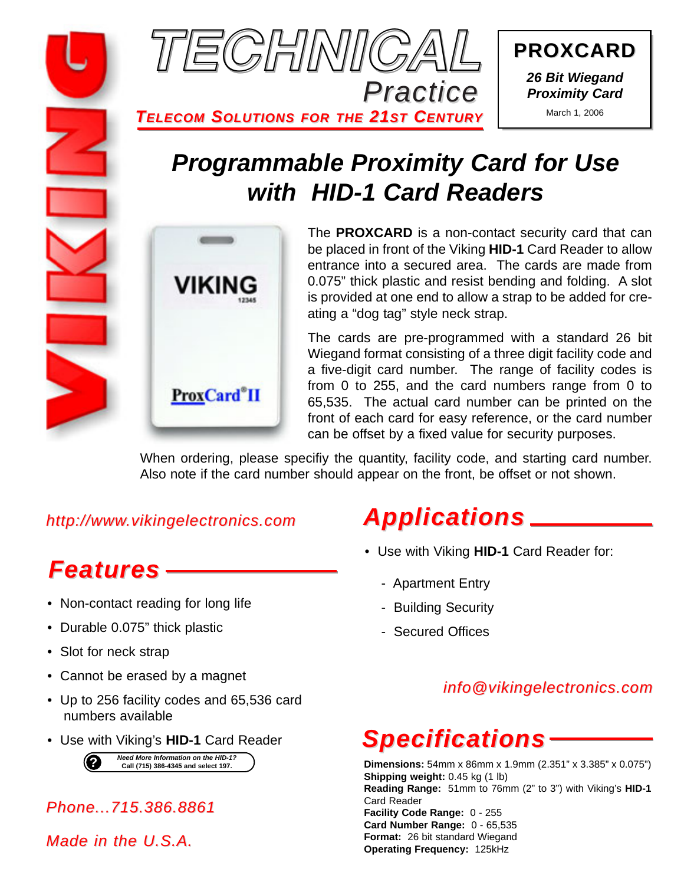

**PROXCARD PROXCARD** *26 Bit Wiegand Proximity Card*

March 1, 2006

## *Programmable Proximity Card for Use with HID-1 Card Readers*



The **PROXCARD** is a non-contact security card that can be placed in front of the Viking **HID-1** Card Reader to allow entrance into a secured area. The cards are made from 0.075" thick plastic and resist bending and folding. A slot is provided at one end to allow a strap to be added for creating a "dog tag" style neck strap.

The cards are pre-programmed with a standard 26 bit Wiegand format consisting of a three digit facility code and a five-digit card number. The range of facility codes is from 0 to 255, and the card numbers range from 0 to 65,535. The actual card number can be printed on the front of each card for easy reference, or the card number can be offset by a fixed value for security purposes.

When ordering, please specifiy the quantity, facility code, and starting card number. Also note if the card number should appear on the front, be offset or not shown.

*http://www.vikingelectronics.com*

*Features*

- Non-contact reading for long life
- Durable 0.075" thick plastic
- Slot for neck strap
- Cannot be erased by a magnet
- Up to 256 facility codes and 65,536 card numbers available
- Use with Viking's **HID-1** Card Reader

**?** *Need More Information on the HID-1?* **Call (715) 386-4345 and select 197.**

*Phone...715.386.8861*

*Made in the U.S.A.*

### *Applications*

- Use with Viking **HID-1** Card Reader for:
	- Apartment Entry
	- Building Security
	- Secured Offices

### *info@vikingelectronics.com*

# *Specifications*

**Dimensions:** 54mm x 86mm x 1.9mm (2.351" x 3.385" x 0.075") **Shipping weight:** 0.45 kg (1 lb) **Reading Range:** 51mm to 76mm (2" to 3") with Viking's **HID-1** Card Reader **Facility Code Range:** 0 - 255 **Card Number Range:** 0 - 65,535 **Format:** 26 bit standard Wiegand **Operating Frequency:** 125kHz